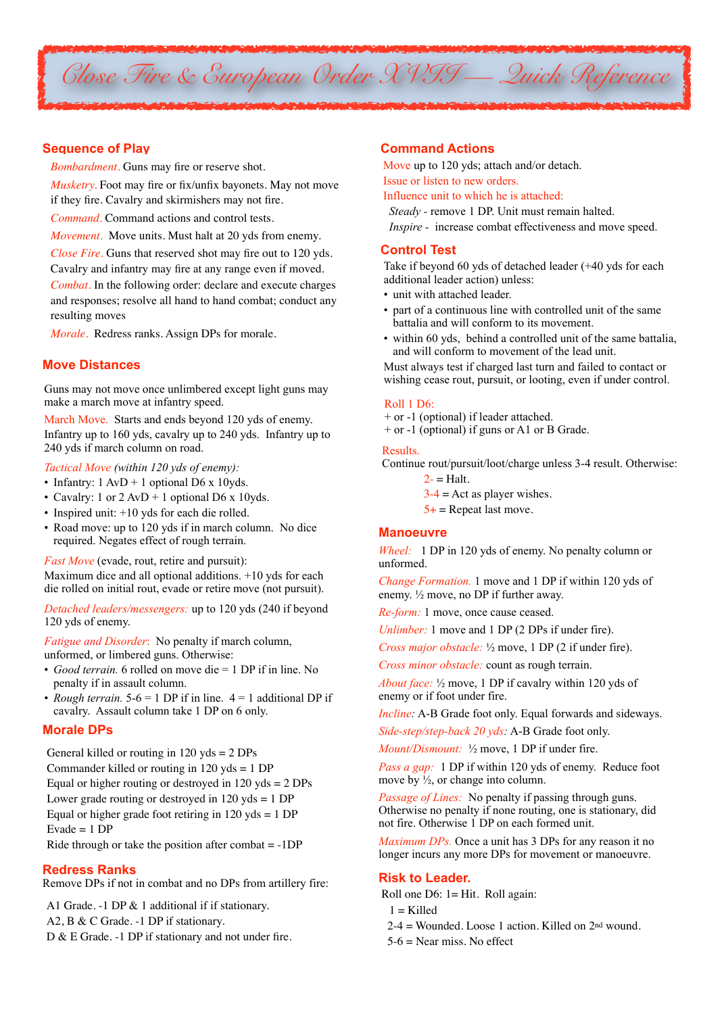

# **Sequence of Play**

*Bombardment*. Guns may fire or reserve shot.

*Musketry.* Foot may fire or fix/unfix bayonets. May not move if they fire. Cavalry and skirmishers may not fire.

*Command.* Command actions and control tests.

*Movement.* Move units. Must halt at 20 yds from enemy.

*Close Fire.* Guns that reserved shot may fire out to 120 yds. Cavalry and infantry may fire at any range even if moved. *Combat*. In the following order: declare and execute charges and responses; resolve all hand to hand combat; conduct any resulting moves

*Morale*. Redress ranks. Assign DPs for morale.

# **Move Distances**

Guns may not move once unlimbered except light guns may make a march move at infantry speed.

March Move. Starts and ends beyond 120 yds of enemy. Infantry up to 160 yds, cavalry up to 240 yds. Infantry up to 240 yds if march column on road.

*Tactical Move (within 120 yds of enemy):*

- Infantry:  $1 \text{ AvD} + 1$  optional D6 x 10yds.
- Cavalry: 1 or  $2 \text{ AvD} + 1$  optional D6 x 10yds.
- Inspired unit: +10 yds for each die rolled.
- Road move: up to 120 yds if in march column. No dice required. Negates effect of rough terrain.

*Fast Move* (evade, rout, retire and pursuit):

Maximum dice and all optional additions. +10 yds for each die rolled on initial rout, evade or retire move (not pursuit).

*Detached leaders/messengers:* up to 120 yds (240 if beyond 120 yds of enemy.

*Fatigue and Disorder*:No penalty if march column, unformed, or limbered guns. Otherwise:

- *Good terrain.* 6 rolled on move die = 1 DP if in line. No penalty if in assault column.
- *Rough terrain.*  $5-6 = 1$  DP if in line.  $4 = 1$  additional DP if cavalry. Assault column take 1 DP on 6 only.

### **Morale DPs**

General killed or routing in 120 yds = 2 DPs Commander killed or routing in 120 yds = 1 DP Equal or higher routing or destroyed in  $120$  yds =  $2$  DPs Lower grade routing or destroyed in 120 yds = 1 DP Equal or higher grade foot retiring in  $120$  yds = 1 DP Evade  $= 1 DP$ Ride through or take the position after combat  $= -1DP$ 

## **Redress Ranks**

Remove DPs if not in combat and no DPs from artillery fire:

A1 Grade. -1 DP & 1 additional if if stationary. A2, B & C Grade. -1 DP if stationary. D & E Grade. -1 DP if stationary and not under fire.

## **Command Actions**

Move up to 120 yds; attach and/or detach.

Issue or listen to new orders.

Influence unit to which he is attached:

*Steady -* remove 1 DP. Unit must remain halted.

*Inspire -* increase combat effectiveness and move speed.

# **Control Test**

Take if beyond 60 yds of detached leader (+40 yds for each additional leader action) unless:

- unit with attached leader.
- part of a continuous line with controlled unit of the same battalia and will conform to its movement.
- within 60 yds, behind a controlled unit of the same battalia. and will conform to movement of the lead unit.

Must always test if charged last turn and failed to contact or wishing cease rout, pursuit, or looting, even if under control.

#### Roll 1 D6:

+ or -1 (optional) if leader attached.

+ or -1 (optional) if guns or A1 or B Grade.

#### Results.

Continue rout/pursuit/loot/charge unless 3-4 result. Otherwise:

- $2-$  = Halt.
- $3-4$  = Act as player wishes.
- $5+$  = Repeat last move.

## **Manoeuvre**

*Wheel:* 1 DP in 120 yds of enemy. No penalty column or unformed.

*Change Formation.* 1 move and 1 DP if within 120 yds of enemy. ½ move, no DP if further away.

*Re-form:* 1 move, once cause ceased.

*Unlimber:* 1 move and 1 DP (2 DPs if under fire).

*Cross major obstacle:* ½ move, 1 DP (2 if under fire).

*Cross minor obstacle:* count as rough terrain.

*About face:* ½ move, 1 DP if cavalry within 120 yds of enemy or if foot under fire.

*Incline:* A-B Grade foot only. Equal forwards and sideways.

*Side-step/step-back 20 yds:* A-B Grade foot only.

*Mount/Dismount:* ½ move, 1 DP if under fire.

*Pass a gap:* 1 DP if within 120 yds of enemy. Reduce foot move by  $\frac{1}{2}$ , or change into column.

*Passage of Lines:* No penalty if passing through guns. Otherwise no penalty if none routing, one is stationary, did not fire. Otherwise 1 DP on each formed unit.

*Maximum DPs.* Once a unit has 3 DPs for any reason it no longer incurs any more DPs for movement or manoeuvre.

#### **Risk to Leader.**

Roll one D6: 1= Hit. Roll again:

 $1 =$ Killed

- $2-4$  = Wounded. Loose 1 action. Killed on  $2<sup>nd</sup>$  wound.
- 5-6 = Near miss. No effect